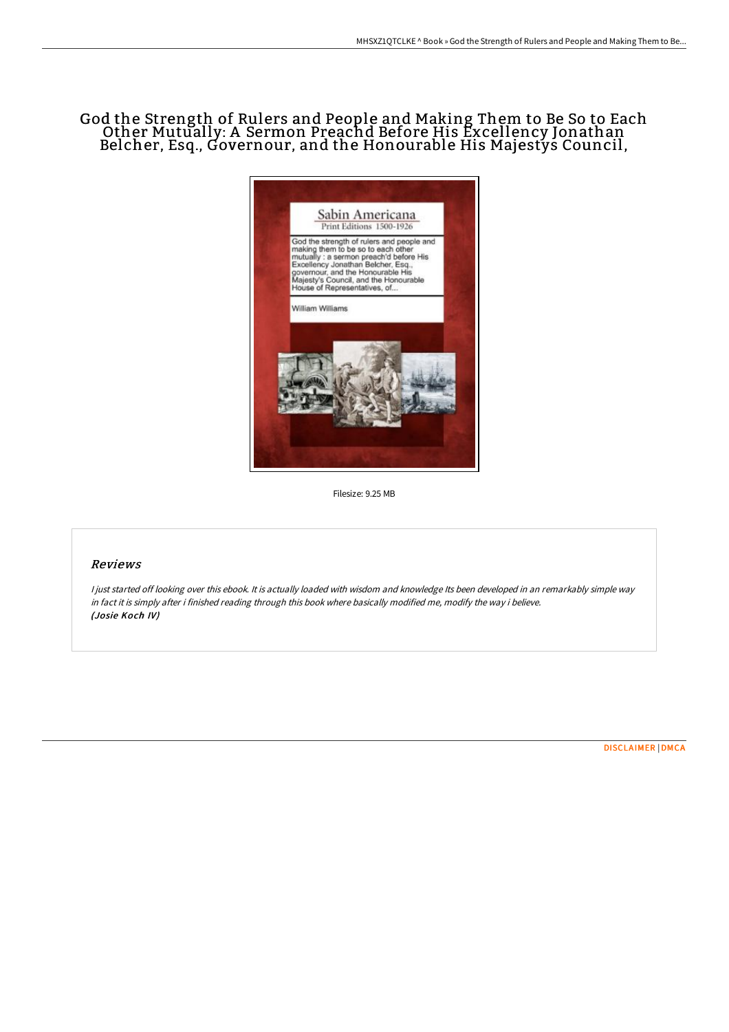# God the Strength of Rulers and People and Making Them to Be So to Each Other Mutually: A Sermon Preachd Before His Excellency Jonathan Belcher, Esq., Governour, and the Honourable His Majestys Council,



Filesize: 9.25 MB

## Reviews

<sup>I</sup> just started off looking over this ebook. It is actually loaded with wisdom and knowledge Its been developed in an remarkably simple way in fact it is simply after i finished reading through this book where basically modified me, modify the way i believe. (Josie Koch IV)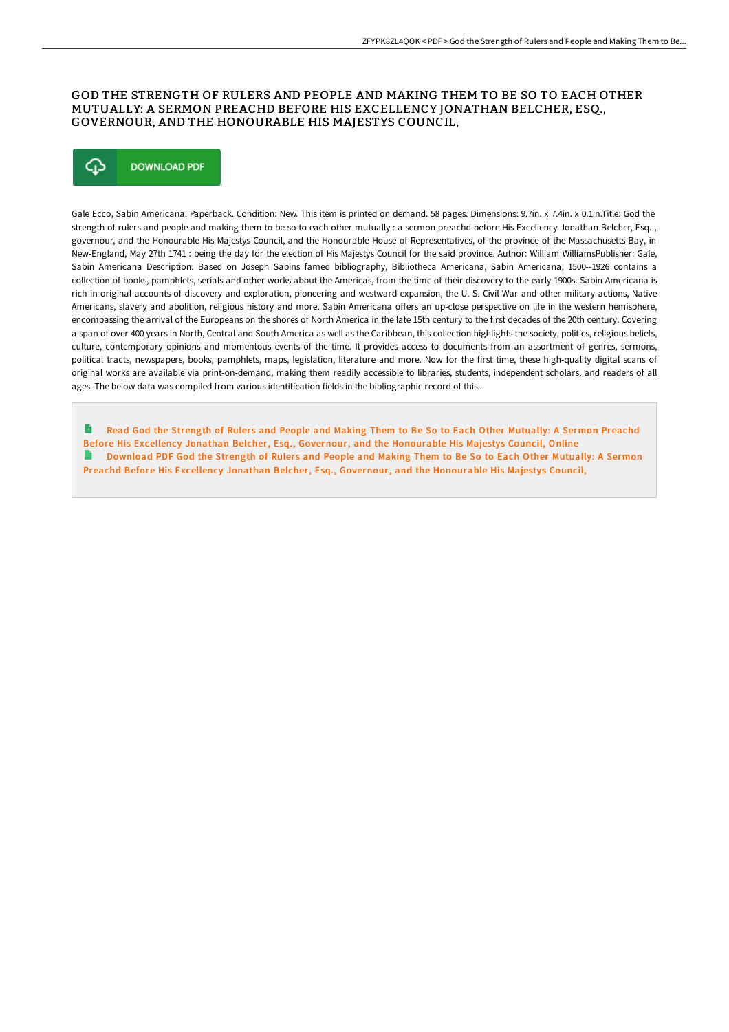## GOD THE STRENGTH OF RULERS AND PEOPLE AND MAKING THEM TO BE SO TO EACH OTHER MUTUALLY: A SERMON PREACHD BEFORE HIS EXCELLENCY JONATHAN BELCHER, ESQ., GOVERNOUR, AND THE HONOURABLE HIS MAJESTYS COUNCIL,



Gale Ecco, Sabin Americana. Paperback. Condition: New. This item is printed on demand. 58 pages. Dimensions: 9.7in. x 7.4in. x 0.1in.Title: God the strength of rulers and people and making them to be so to each other mutually : a sermon preachd before His Excellency Jonathan Belcher, Esq. , governour, and the Honourable His Majestys Council, and the Honourable House of Representatives, of the province of the Massachusetts-Bay, in New-England, May 27th 1741 : being the day for the election of His Majestys Council for the said province. Author: William WilliamsPublisher: Gale, Sabin Americana Description: Based on Joseph Sabins famed bibliography, Bibliotheca Americana, Sabin Americana, 1500--1926 contains a collection of books, pamphlets, serials and other works about the Americas, from the time of their discovery to the early 1900s. Sabin Americana is rich in original accounts of discovery and exploration, pioneering and westward expansion, the U. S. Civil War and other military actions, Native Americans, slavery and abolition, religious history and more. Sabin Americana offers an up-close perspective on life in the western hemisphere, encompassing the arrival of the Europeans on the shores of North America in the late 15th century to the first decades of the 20th century. Covering a span of over 400 years in North, Central and South America as well as the Caribbean, this collection highlights the society, politics, religious beliefs, culture, contemporary opinions and momentous events of the time. It provides access to documents from an assortment of genres, sermons, political tracts, newspapers, books, pamphlets, maps, legislation, literature and more. Now for the first time, these high-quality digital scans of original works are available via print-on-demand, making them readily accessible to libraries, students, independent scholars, and readers of all ages. The below data was compiled from various identification fields in the bibliographic record of this...

 $\mathbf{E}$ Read God the Strength of Rulers and People and Making Them to Be So to Each Other Mutually: A Sermon Preachd Before His Excellency Jonathan Belcher, Esq., Governour, and the [Honourable](http://www.bookdirs.com/god-the-strength-of-rulers-and-people-and-making.html) His Majestys Council, Online Download PDF God the Strength of Rulers and People and Making Them to Be So to Each Other Mutually: A Sermon Preachd Before His Excellency Jonathan Belcher, Esq., Governour, and the [Honourable](http://www.bookdirs.com/god-the-strength-of-rulers-and-people-and-making.html) His Majestys Council,